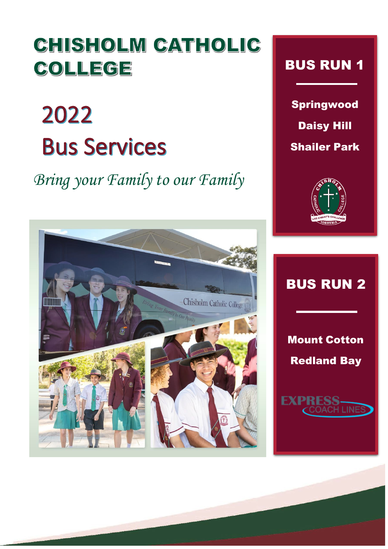## CHISHOLM CATHOLIC COLLEGE

## 2022 **Bus Services**

*Bring your Family to our Family*



Springwood Daisy Hill Shailer Park





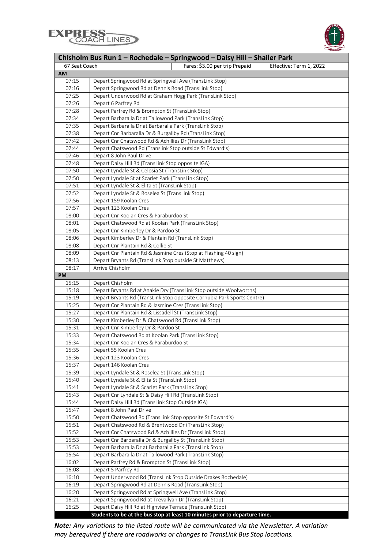



| Chisholm Bus Run 1 – Rochedale – Springwood – Daisy Hill – Shailer Park |                                                                         |  |  |  |  |
|-------------------------------------------------------------------------|-------------------------------------------------------------------------|--|--|--|--|
| 67 Seat Coach                                                           | Fares: \$3.00 per trip Prepaid<br>Effective: Term 1, 2022               |  |  |  |  |
| <b>AM</b>                                                               |                                                                         |  |  |  |  |
| 07:15                                                                   | Depart Springwood Rd at Springwell Ave (TransLink Stop)                 |  |  |  |  |
| 07:16                                                                   | Depart Springwood Rd at Dennis Road (TransLink Stop)                    |  |  |  |  |
| 07:25                                                                   | Depart Underwood Rd at Graham Hogg Park (TransLink Stop)                |  |  |  |  |
| 07:26                                                                   | Depart 6 Parfrey Rd                                                     |  |  |  |  |
| 07:28                                                                   | Depart Parfrey Rd & Brompton St (TransLink Stop)                        |  |  |  |  |
| 07:34                                                                   | Depart Barbaralla Dr at Tallowood Park (TransLink Stop)                 |  |  |  |  |
| 07:35                                                                   | Depart Barbaralla Dr at Barbaralla Park (TransLink Stop)                |  |  |  |  |
| 07:38                                                                   | Depart Cnr Barbaralla Dr & Burgallby Rd (TransLink Stop)                |  |  |  |  |
| 07:42                                                                   | Depart Cnr Chatswood Rd & Achillies Dr (TransLink Stop)                 |  |  |  |  |
| 07:44                                                                   | Depart Chatswood Rd (Translink Stop outside St Edward's)                |  |  |  |  |
| 07:46                                                                   | Depart 8 John Paul Drive                                                |  |  |  |  |
| 07:48                                                                   | Depart Daisy Hill Rd (TransLink Stop opposite IGA)                      |  |  |  |  |
| 07:50                                                                   | Depart Lyndale St & Celosia St (TransLink Stop)                         |  |  |  |  |
| 07:50                                                                   | Depart Lyndale St at Scarlet Park (TransLink Stop)                      |  |  |  |  |
| 07:51                                                                   | Depart Lyndale St & Elita St (TransLink Stop)                           |  |  |  |  |
| 07:52                                                                   |                                                                         |  |  |  |  |
|                                                                         | Depart Lyndale St & Roselea St (TransLink Stop)                         |  |  |  |  |
| 07:56                                                                   | Depart 159 Koolan Cres                                                  |  |  |  |  |
| 07:57                                                                   | Depart 123 Koolan Cres                                                  |  |  |  |  |
| 08:00                                                                   | Depart Cnr Koolan Cres & Paraburdoo St                                  |  |  |  |  |
| 08:01                                                                   | Depart Chatswood Rd at Koolan Park (TransLink Stop)                     |  |  |  |  |
| 08:05                                                                   | Depart Cnr Kimberley Dr & Pardoo St                                     |  |  |  |  |
| 08:06                                                                   | Depart Kimberley Dr & Plantain Rd (TransLink Stop)                      |  |  |  |  |
| 08:08                                                                   | Depart Cnr Plantain Rd & Collie St                                      |  |  |  |  |
| 08:09                                                                   | Depart Cnr Plantain Rd & Jasmine Cres (Stop at Flashing 40 sign)        |  |  |  |  |
| 08:13                                                                   | Depart Bryants Rd (TransLink Stop outside St Matthews)                  |  |  |  |  |
| 08:17                                                                   | Arrive Chisholm                                                         |  |  |  |  |
| <b>PM</b>                                                               |                                                                         |  |  |  |  |
| 15:15                                                                   | Depart Chisholm                                                         |  |  |  |  |
| 15:18                                                                   | Depart Bryants Rd at Anakie Drv (TransLink Stop outside Woolworths)     |  |  |  |  |
| 15:19                                                                   | Depart Bryants Rd (TransLink Stop opposite Cornubia Park Sports Centre) |  |  |  |  |
| 15:25                                                                   | Depart Cnr Plantain Rd & Jasmine Cres (TransLink Stop)                  |  |  |  |  |
| 15:27                                                                   | Depart Cnr Plantain Rd & Lissadell St (TransLink Stop)                  |  |  |  |  |
| 15:30                                                                   | Depart Kimberley Dr & Chatswood Rd (TransLink Stop)                     |  |  |  |  |
| 15:31                                                                   | Depart Cnr Kimberley Dr & Pardoo St                                     |  |  |  |  |
| 15:33                                                                   | Depart Chatswood Rd at Koolan Park (TransLink Stop)                     |  |  |  |  |
| 15:34                                                                   | Depart Cnr Koolan Cres & Paraburdoo St                                  |  |  |  |  |
| 15:35                                                                   | Depart 55 Koolan Cres                                                   |  |  |  |  |
| 15:36                                                                   | Depart 123 Koolan Cres                                                  |  |  |  |  |
| 15:37                                                                   | Depart 146 Koolan Cres                                                  |  |  |  |  |
| 15:39                                                                   | Depart Lyndale St & Roselea St (TransLink Stop)                         |  |  |  |  |
| 15:40                                                                   | Depart Lyndale St & Elita St (TransLink Stop)                           |  |  |  |  |
| 15:41                                                                   | Depart Lyndale St & Scarlet Park (TransLink Stop)                       |  |  |  |  |
| 15:43                                                                   | Depart Cnr Lyndale St & Daisy Hill Rd (TransLink Stop)                  |  |  |  |  |
| 15:44                                                                   | Depart Daisy Hill Rd (TransLink Stop Outside IGA)                       |  |  |  |  |
| 15:47                                                                   | Depart 8 John Paul Drive                                                |  |  |  |  |
| 15:50                                                                   | Depart Chatswood Rd (TransLink Stop opposite St Edward's)               |  |  |  |  |
| 15:51                                                                   | Depart Chatswood Rd & Brentwood Dr (TransLink Stop)                     |  |  |  |  |
| 15:52                                                                   | Depart Cnr Chatswood Rd & Achillies Dr (TransLink Stop)                 |  |  |  |  |
| 15:53                                                                   | Depart Cnr Barbaralla Dr & Burgallby St (TransLink Stop)                |  |  |  |  |
| 15:53                                                                   | Depart Barbaralla Dr at Barbaralla Park (TransLink Stop)                |  |  |  |  |
| 15:54                                                                   | Depart Barbaralla Dr at Tallowood Park (TransLink Stop)                 |  |  |  |  |
| 16:02                                                                   | Depart Parfrey Rd & Brompton St (TransLink Stop)                        |  |  |  |  |
| 16:08                                                                   | Depart 5 Parfrey Rd                                                     |  |  |  |  |
| 16:10                                                                   | Depart Underwood Rd (TransLink Stop Outside Drakes Rochedale)           |  |  |  |  |
| 16:19                                                                   | Depart Springwood Rd at Dennis Road (TransLink Stop)                    |  |  |  |  |
| 16:20                                                                   | Depart Springwood Rd at Springwell Ave (TransLink Stop)                 |  |  |  |  |
| 16:21                                                                   | Depart Springwood Rd at Trevallyan Dr (TransLink Stop)                  |  |  |  |  |
| 16:25                                                                   | Depart Daisy Hill Rd at Highview Terrace (TransLink Stop)               |  |  |  |  |

*Note: Any variations to the listed route will be communicated via the Newsletter. A variation may berequired if there are roadworks or changes to TransLink Bus Stop locations.*

**Students to be at the bus stop at least 10 minutes prior to departure time.**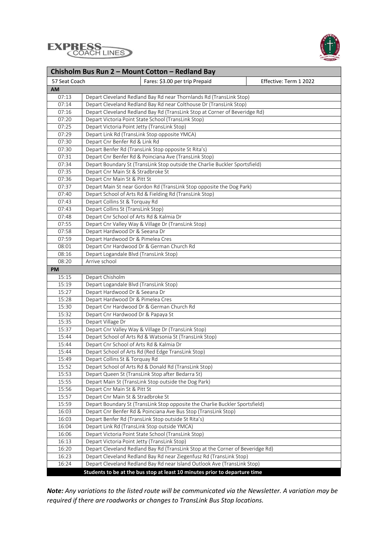



| Chisholm Bus Run 2 - Mount Cotton - Redland Bay |                                                                                |  |  |  |  |
|-------------------------------------------------|--------------------------------------------------------------------------------|--|--|--|--|
| 57 Seat Coach                                   | Fares: \$3.00 per trip Prepaid<br>Effective: Term 1 2022                       |  |  |  |  |
| <b>AM</b>                                       |                                                                                |  |  |  |  |
| 07:13                                           | Depart Cleveland Redland Bay Rd near Thornlands Rd (TransLink Stop)            |  |  |  |  |
| 07:14                                           | Depart Cleveland Redland Bay Rd near Colthouse Dr (TransLink Stop)             |  |  |  |  |
| 07:16                                           | Depart Cleveland Redland Bay Rd (TransLink Stop at Corner of Beveridge Rd)     |  |  |  |  |
| 07:20                                           | Depart Victoria Point State School (TransLink Stop)                            |  |  |  |  |
| 07:25                                           | Depart Victoria Point Jetty (TransLink Stop)                                   |  |  |  |  |
| 07:29                                           | Depart Link Rd (TransLink Stop opposite YMCA)                                  |  |  |  |  |
| 07:30                                           | Depart Cnr Benfer Rd & Link Rd                                                 |  |  |  |  |
| 07:30                                           | Depart Benfer Rd (TransLink Stop opposite St Rita's)                           |  |  |  |  |
| 07:31                                           | Depart Cnr Benfer Rd & Poinciana Ave (TransLink Stop)                          |  |  |  |  |
| 07:34                                           | Depart Boundary St (TransLink Stop outside the Charlie Buckler Sportsfield)    |  |  |  |  |
| 07:35                                           | Depart Cnr Main St & Stradbroke St                                             |  |  |  |  |
| 07:36                                           | Depart Cnr Main St & Pitt St                                                   |  |  |  |  |
| 07:37                                           | Depart Main St near Gordon Rd (TransLink Stop opposite the Dog Park)           |  |  |  |  |
| 07:40                                           | Depart School of Arts Rd & Fielding Rd (TransLink Stop)                        |  |  |  |  |
| 07:43                                           | Depart Collins St & Torquay Rd                                                 |  |  |  |  |
| 07:43                                           | Depart Collins St (TransLink Stop)                                             |  |  |  |  |
| 07:48                                           | Depart Cnr School of Arts Rd & Kalmia Dr                                       |  |  |  |  |
| 07:55                                           | Depart Cnr Valley Way & Village Dr (TransLink Stop)                            |  |  |  |  |
| 07:58                                           | Depart Hardwood Dr & Seeana Dr                                                 |  |  |  |  |
| 07:59                                           | Depart Hardwood Dr & Pimelea Cres                                              |  |  |  |  |
| 08:01                                           | Depart Cnr Hardwood Dr & German Church Rd                                      |  |  |  |  |
| 08:16                                           | Depart Logandale Blvd (TransLink Stop)                                         |  |  |  |  |
| 08:20                                           | Arrive school                                                                  |  |  |  |  |
| <b>PM</b>                                       |                                                                                |  |  |  |  |
| 15:15                                           | Depart Chisholm                                                                |  |  |  |  |
| 15:19                                           | Depart Logandale Blvd (TransLink Stop)                                         |  |  |  |  |
| 15:27                                           | Depart Hardwood Dr & Seeana Dr                                                 |  |  |  |  |
| 15:28                                           | Depart Hardwood Dr & Pimelea Cres                                              |  |  |  |  |
| 15:30                                           | Depart Cnr Hardwood Dr & German Church Rd                                      |  |  |  |  |
| 15:32                                           | Depart Cnr Hardwood Dr & Papaya St                                             |  |  |  |  |
| 15:35                                           | Depart Village Dr                                                              |  |  |  |  |
| 15:37                                           | Depart Cnr Valley Way & Village Dr (TransLink Stop)                            |  |  |  |  |
| 15:44                                           | Depart School of Arts Rd & Watsonia St (TransLink Stop)                        |  |  |  |  |
| 15:44                                           | Depart Cnr School of Arts Rd & Kalmia Dr                                       |  |  |  |  |
| 15:44                                           | Depart School of Arts Rd (Red Edge TransLink Stop)                             |  |  |  |  |
| 15:49                                           | Depart Collins St & Torquay Rd                                                 |  |  |  |  |
| 15:52                                           | Depart School of Arts Rd & Donald Rd (TransLink Stop)                          |  |  |  |  |
| 15:53                                           | Depart Queen St (TransLink Stop after Bedarra St)                              |  |  |  |  |
| 15:55                                           | Depart Main St (TransLink Stop outside the Dog Park)                           |  |  |  |  |
| 15:56                                           | Depart Cnr Main St & Pitt St                                                   |  |  |  |  |
| 15:57                                           | Depart Cnr Main St & Stradbroke St                                             |  |  |  |  |
| 15:59                                           | Depart Boundary St (TransLink Stop opposite the Charlie Buckler Sportsfield)   |  |  |  |  |
| 16:03                                           | Depart Cnr Benfer Rd & Poinciana Ave Bus Stop (TransLink Stop)                 |  |  |  |  |
| 16:03                                           | Depart Benfer Rd (TransLink Stop outside St Rita's)                            |  |  |  |  |
| 16:04                                           | Depart Link Rd (TransLink Stop outside YMCA)                                   |  |  |  |  |
| 16:06                                           | Depart Victoria Point State School (TransLink Stop)                            |  |  |  |  |
| 16:13                                           | Depart Victoria Point Jetty (TransLink Stop)                                   |  |  |  |  |
| 16:20                                           | Depart Cleveland Redland Bay Rd (TransLink Stop at the Corner of Beveridge Rd) |  |  |  |  |
| 16:23                                           | Depart Cleveland Redland Bay Rd near Ziegenfusz Rd (TransLink Stop)            |  |  |  |  |
| 16:24                                           | Depart Cleveland Redland Bay Rd near Island Outlook Ave (TransLink Stop)       |  |  |  |  |
|                                                 | Students to be at the bus stop at least 10 minutes prior to departure time     |  |  |  |  |

*Note: Any variations to the listed route will be communicated via the Newsletter. A variation may be required if there are roadworks or changes to TransLink Bus Stop locations.*